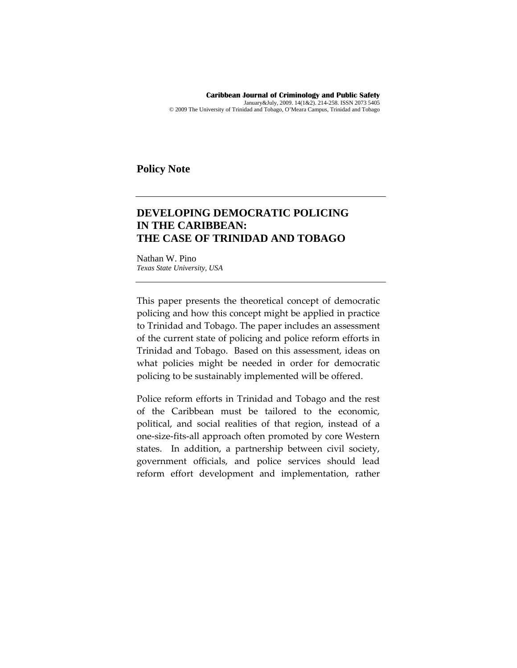**Caribbean Journal of Criminology and Public Safety**  January&July, 2009. 14(1&2). 214-258. ISSN 2073 5405 © 2009 The University of Trinidad and Tobago, O'Meara Campus, Trinidad and Tobago

**Policy Note** 

# **DEVELOPING DEMOCRATIC POLICING IN THE CARIBBEAN: THE CASE OF TRINIDAD AND TOBAGO**

Nathan W. Pino *Texas State University, USA* 

This paper presents the theoretical concept of democratic policing and how this concept might be applied in practice to Trinidad and Tobago. The paper includes an assessment of the current state of policing and police reform efforts in Trinidad and Tobago. Based on this assessment, ideas on what policies might be needed in order for democratic policing to be sustainably implemented will be offered.

Police reform efforts in Trinidad and Tobago and the rest of the Caribbean must be tailored to the economic, political, and social realities of that region, instead of a one‐size‐fits‐all approach often promoted by core Western states. In addition, a partnership between civil society, government officials, and police services should lead reform effort development and implementation, rather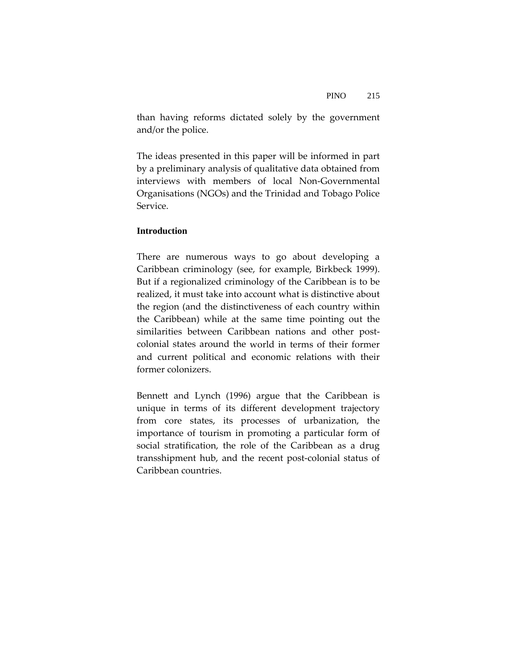than having reforms dictated solely by the government and/or the police.

The ideas presented in this paper will be informed in part by a preliminary analysis of qualitative data obtained from interviews with members of local Non‐Governmental Organisations (NGOs) and the Trinidad and Tobago Police Service.

# **Introduction**

There are numerous ways to go about developing a Caribbean criminology (see, for example, Birkbeck 1999). But if a regionalized criminology of the Caribbean is to be realized, it must take into account what is distinctive about the region (and the distinctiveness of each country within the Caribbean) while at the same time pointing out the similarities between Caribbean nations and other postcolonial states around the world in terms of their former and current political and economic relations with their former colonizers.

Bennett and Lynch (1996) argue that the Caribbean is unique in terms of its different development trajectory from core states, its processes of urbanization, the importance of tourism in promoting a particular form of social stratification, the role of the Caribbean as a drug transshipment hub, and the recent post‐colonial status of Caribbean countries.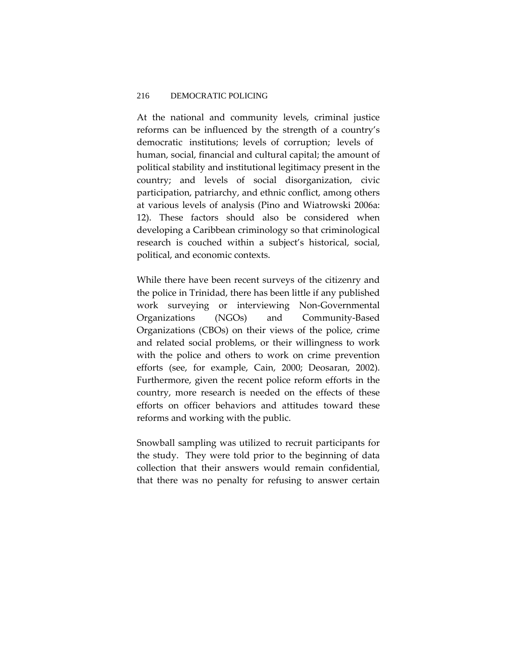At the national and community levels, criminal justice reforms can be influenced by the strength of a country's democratic institutions; levels of corruption; levels of human, social, financial and cultural capital; the amount of political stability and institutional legitimacy present in the country; and levels of social disorganization, civic participation, patriarchy, and ethnic conflict, among others at various levels of analysis (Pino and Wiatrowski 2006a: 12). These factors should also be considered when developing a Caribbean criminology so that criminological research is couched within a subject's historical, social, political, and economic contexts.

While there have been recent surveys of the citizenry and the police in Trinidad, there has been little if any published work surveying or interviewing Non‐Governmental Organizations (NGOs) and Community‐Based Organizations (CBOs) on their views of the police, crime and related social problems, or their willingness to work with the police and others to work on crime prevention efforts (see, for example, Cain, 2000; Deosaran, 2002). Furthermore, given the recent police reform efforts in the country, more research is needed on the effects of these efforts on officer behaviors and attitudes toward these reforms and working with the public.

Snowball sampling was utilized to recruit participants for the study. They were told prior to the beginning of data collection that their answers would remain confidential, that there was no penalty for refusing to answer certain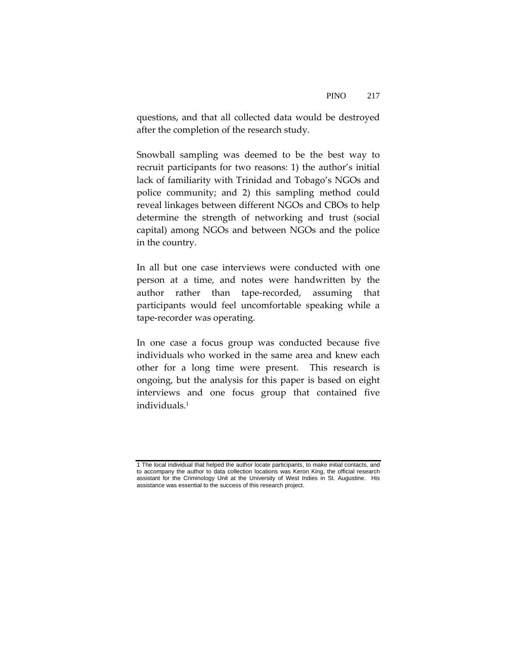questions, and that all collected data would be destroyed after the completion of the research study.

Snowball sampling was deemed to be the best way to recruit participants for two reasons: 1) the author's initial lack of familiarity with Trinidad and Tobago's NGOs and police community; and 2) this sampling method could reveal linkages between different NGOs and CBOs to help determine the strength of networking and trust (social capital) among NGOs and between NGOs and the police in the country.

In all but one case interviews were conducted with one person at a time, and notes were handwritten by the author rather than tape‐recorded, assuming that participants would feel uncomfortable speaking while a tape‐recorder was operating.

In one case a focus group was conducted because five individuals who worked in the same area and knew each other for a long time were present. This research is ongoing, but the analysis for this paper is based on eight interviews and one focus group that contained five individuals.1

<sup>1</sup> The local individual that helped the author locate participants, to make initial contacts, and to accompany the author to data collection locations was Keron King, the official research assistant for the Criminology Unit at the University of West Indies in St. Augustine. His assistance was essential to the success of this research project.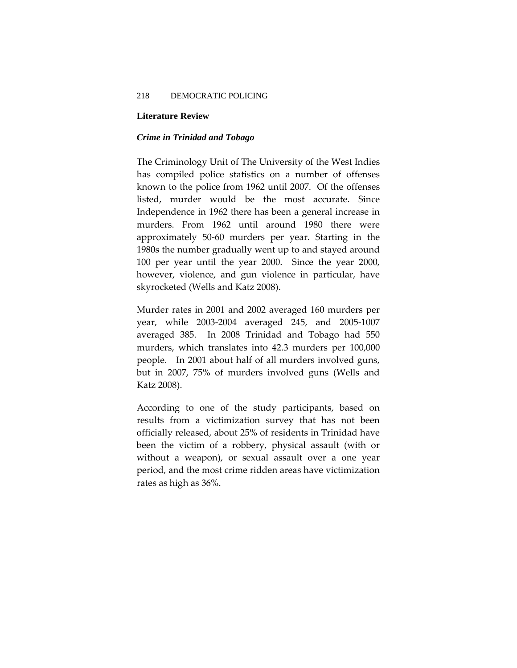#### **Literature Review**

#### *Crime in Trinidad and Tobago*

The Criminology Unit of The University of the West Indies has compiled police statistics on a number of offenses known to the police from 1962 until 2007. Of the offenses listed, murder would be the most accurate. Since Independence in 1962 there has been a general increase in murders. From 1962 until around 1980 there were approximately 50‐60 murders per year. Starting in the 1980s the number gradually went up to and stayed around 100 per year until the year 2000. Since the year 2000, however, violence, and gun violence in particular, have skyrocketed (Wells and Katz 2008).

Murder rates in 2001 and 2002 averaged 160 murders per year, while 2003‐2004 averaged 245, and 2005‐1007 averaged 385. In 2008 Trinidad and Tobago had 550 murders, which translates into 42.3 murders per 100,000 people. In 2001 about half of all murders involved guns, but in 2007, 75% of murders involved guns (Wells and Katz 2008).

According to one of the study participants, based on results from a victimization survey that has not been officially released, about 25% of residents in Trinidad have been the victim of a robbery, physical assault (with or without a weapon), or sexual assault over a one year period, and the most crime ridden areas have victimization rates as high as 36%.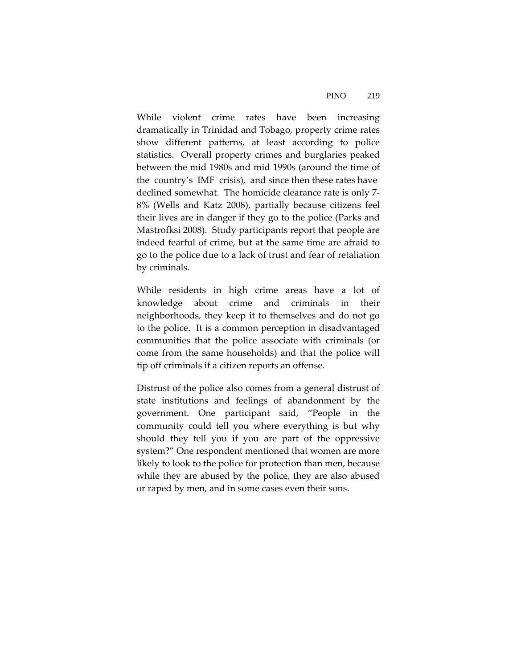While violent crime rates have been increasing dramatically in Trinidad and Tobago, property crime rates show different patterns, at least according to police statistics. Overall property crimes and burglaries peaked between the mid 1980s and mid 1990s (around the time of the country's IMF crisis), and since then these rates have declined somewhat. The homicide clearance rate is only 7‐ 8% (Wells and Katz 2008), partially because citizens feel their lives are in danger if they go to the police (Parks and Mastrofksi 2008). Study participants report that people are indeed fearful of crime, but at the same time are afraid to go to the police due to a lack of trust and fear of retaliation by criminals.

While residents in high crime areas have a lot of knowledge about crime and criminals in their neighborhoods, they keep it to themselves and do not go to the police. It is a common perception in disadvantaged communities that the police associate with criminals (or come from the same households) and that the police will tip off criminals if a citizen reports an offense.

Distrust of the police also comes from a general distrust of state institutions and feelings of abandonment by the government. One participant said, "People in the community could tell you where everything is but why should they tell you if you are part of the oppressive system?" One respondent mentioned that women are more likely to look to the police for protection than men, because while they are abused by the police, they are also abused or raped by men, and in some cases even their sons.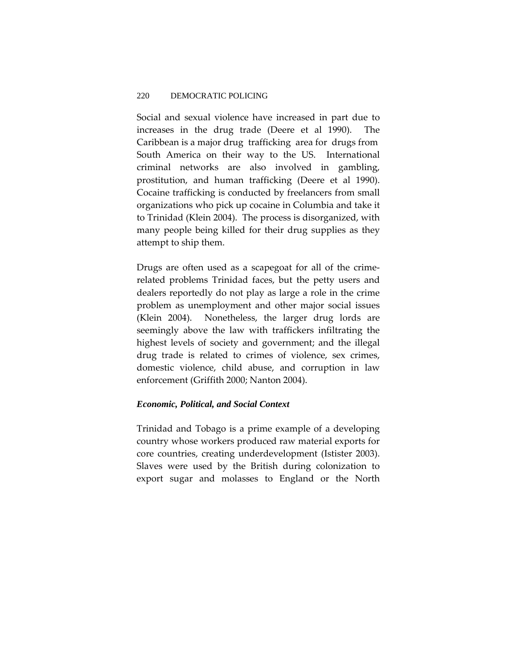Social and sexual violence have increased in part due to increases in the drug trade (Deere et al 1990). The Caribbean is a major drug trafficking area for drugs from South America on their way to the US. International criminal networks are also involved in gambling, prostitution, and human trafficking (Deere et al 1990). Cocaine trafficking is conducted by freelancers from small organizations who pick up cocaine in Columbia and take it to Trinidad (Klein 2004). The process is disorganized, with many people being killed for their drug supplies as they attempt to ship them.

Drugs are often used as a scapegoat for all of the crime‐ related problems Trinidad faces, but the petty users and dealers reportedly do not play as large a role in the crime problem as unemployment and other major social issues (Klein 2004). Nonetheless, the larger drug lords are seemingly above the law with traffickers infiltrating the highest levels of society and government; and the illegal drug trade is related to crimes of violence, sex crimes, domestic violence, child abuse, and corruption in law enforcement (Griffith 2000; Nanton 2004).

### *Economic, Political, and Social Context*

Trinidad and Tobago is a prime example of a developing country whose workers produced raw material exports for core countries, creating underdevelopment (Istister 2003). Slaves were used by the British during colonization to export sugar and molasses to England or the North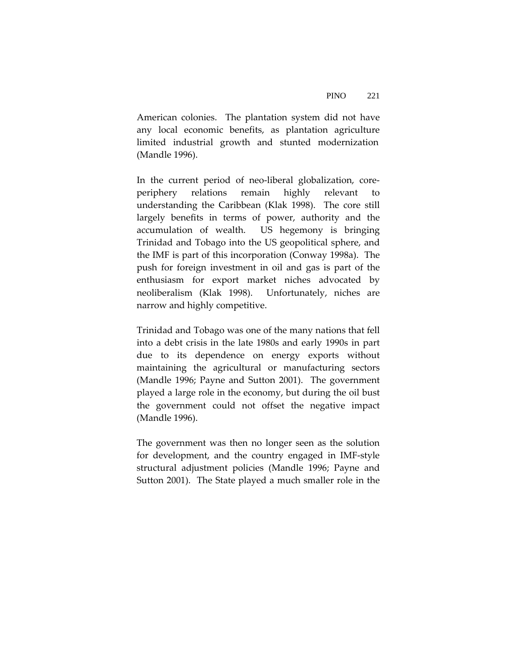American colonies. The plantation system did not have any local economic benefits, as plantation agriculture limited industrial growth and stunted modernization (Mandle 1996).

In the current period of neo-liberal globalization, coreperiphery relations remain highly relevant to understanding the Caribbean (Klak 1998). The core still largely benefits in terms of power, authority and the accumulation of wealth. US hegemony is bringing Trinidad and Tobago into the US geopolitical sphere, and the IMF is part of this incorporation (Conway 1998a). The push for foreign investment in oil and gas is part of the enthusiasm for export market niches advocated by neoliberalism (Klak 1998). Unfortunately, niches are narrow and highly competitive.

Trinidad and Tobago was one of the many nations that fell into a debt crisis in the late 1980s and early 1990s in part due to its dependence on energy exports without maintaining the agricultural or manufacturing sectors (Mandle 1996; Payne and Sutton 2001). The government played a large role in the economy, but during the oil bust the government could not offset the negative impact (Mandle 1996).

The government was then no longer seen as the solution for development, and the country engaged in IMF‐style structural adjustment policies (Mandle 1996; Payne and Sutton 2001). The State played a much smaller role in the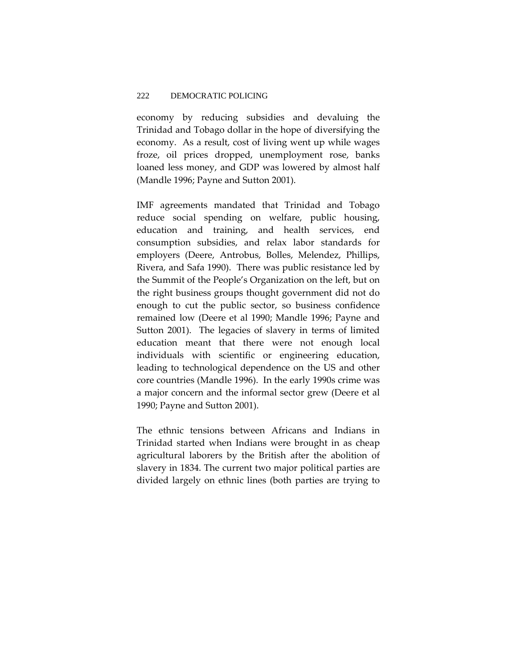economy by reducing subsidies and devaluing the Trinidad and Tobago dollar in the hope of diversifying the economy. As a result, cost of living went up while wages froze, oil prices dropped, unemployment rose, banks loaned less money, and GDP was lowered by almost half (Mandle 1996; Payne and Sutton 2001).

IMF agreements mandated that Trinidad and Tobago reduce social spending on welfare, public housing, education and training, and health services, end consumption subsidies, and relax labor standards for employers (Deere, Antrobus, Bolles, Melendez, Phillips, Rivera, and Safa 1990). There was public resistance led by the Summit of the People's Organization on the left, but on the right business groups thought government did not do enough to cut the public sector, so business confidence remained low (Deere et al 1990; Mandle 1996; Payne and Sutton 2001). The legacies of slavery in terms of limited education meant that there were not enough local individuals with scientific or engineering education, leading to technological dependence on the US and other core countries (Mandle 1996). In the early 1990s crime was a major concern and the informal sector grew (Deere et al 1990; Payne and Sutton 2001).

The ethnic tensions between Africans and Indians in Trinidad started when Indians were brought in as cheap agricultural laborers by the British after the abolition of slavery in 1834. The current two major political parties are divided largely on ethnic lines (both parties are trying to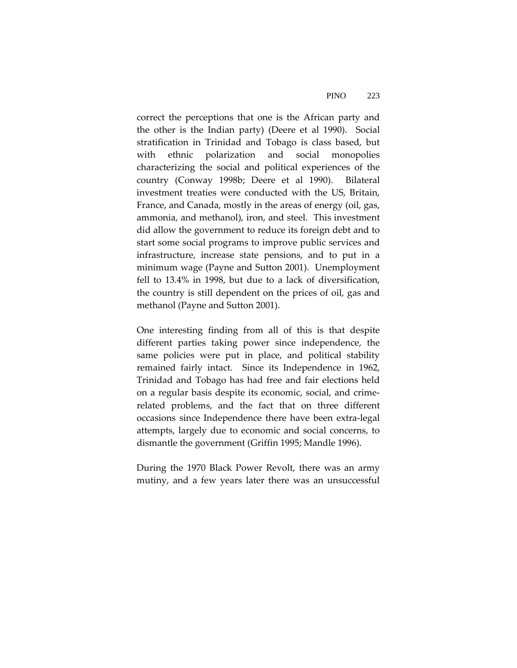correct the perceptions that one is the African party and the other is the Indian party) (Deere et al 1990). Social stratification in Trinidad and Tobago is class based, but with ethnic polarization and social monopolies characterizing the social and political experiences of the country (Conway 1998b; Deere et al 1990). Bilateral investment treaties were conducted with the US, Britain, France, and Canada, mostly in the areas of energy (oil, gas, ammonia, and methanol), iron, and steel. This investment did allow the government to reduce its foreign debt and to start some social programs to improve public services and infrastructure, increase state pensions, and to put in a minimum wage (Payne and Sutton 2001). Unemployment fell to 13.4% in 1998, but due to a lack of diversification, the country is still dependent on the prices of oil, gas and methanol (Payne and Sutton 2001).

One interesting finding from all of this is that despite different parties taking power since independence, the same policies were put in place, and political stability remained fairly intact. Since its Independence in 1962, Trinidad and Tobago has had free and fair elections held on a regular basis despite its economic, social, and crime‐ related problems, and the fact that on three different occasions since Independence there have been extra‐legal attempts, largely due to economic and social concerns, to dismantle the government (Griffin 1995; Mandle 1996).

During the 1970 Black Power Revolt, there was an army mutiny, and a few years later there was an unsuccessful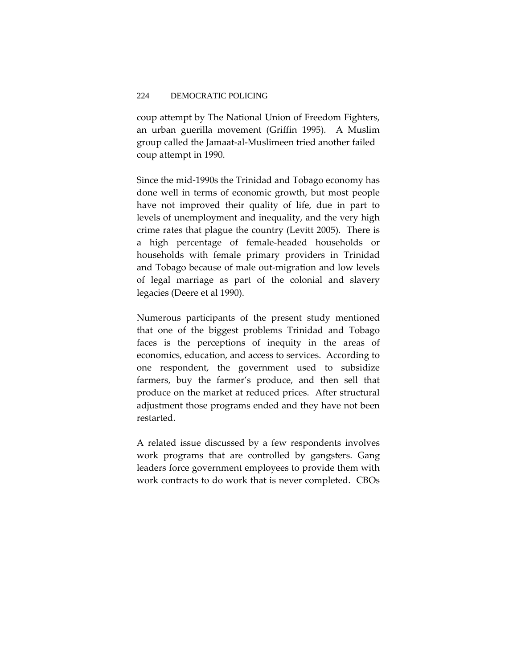coup attempt by The National Union of Freedom Fighters, an urban guerilla movement (Griffin 1995). A Muslim group called the Jamaat‐al‐Muslimeen tried another failed coup attempt in 1990.

Since the mid‐1990s the Trinidad and Tobago economy has done well in terms of economic growth, but most people have not improved their quality of life, due in part to levels of unemployment and inequality, and the very high crime rates that plague the country (Levitt 2005). There is a high percentage of female‐headed households or households with female primary providers in Trinidad and Tobago because of male out‐migration and low levels of legal marriage as part of the colonial and slavery legacies (Deere et al 1990).

Numerous participants of the present study mentioned that one of the biggest problems Trinidad and Tobago faces is the perceptions of inequity in the areas of economics, education, and access to services. According to one respondent, the government used to subsidize farmers, buy the farmer's produce, and then sell that produce on the market at reduced prices. After structural adjustment those programs ended and they have not been restarted.

A related issue discussed by a few respondents involves work programs that are controlled by gangsters. Gang leaders force government employees to provide them with work contracts to do work that is never completed. CBOs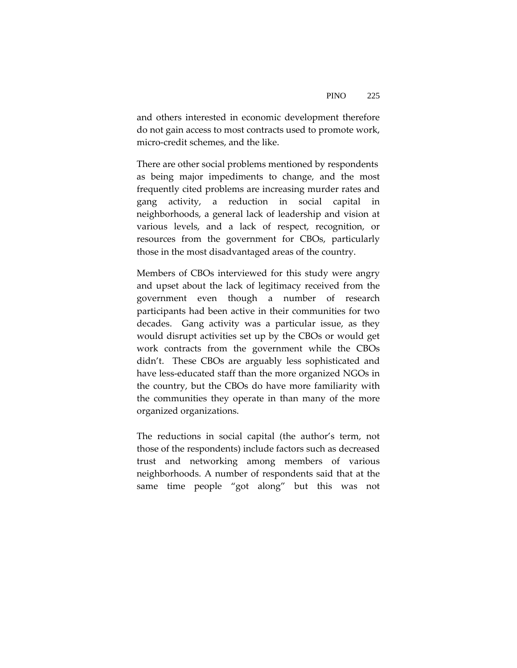and others interested in economic development therefore do not gain access to most contracts used to promote work, micro‐credit schemes, and the like.

There are other social problems mentioned by respondents as being major impediments to change, and the most frequently cited problems are increasing murder rates and gang activity, a reduction in social capital in neighborhoods, a general lack of leadership and vision at various levels, and a lack of respect, recognition, or resources from the government for CBOs, particularly those in the most disadvantaged areas of the country.

Members of CBOs interviewed for this study were angry and upset about the lack of legitimacy received from the government even though a number of research participants had been active in their communities for two decades. Gang activity was a particular issue, as they would disrupt activities set up by the CBOs or would get work contracts from the government while the CBOs didn't. These CBOs are arguably less sophisticated and have less-educated staff than the more organized NGOs in the country, but the CBOs do have more familiarity with the communities they operate in than many of the more organized organizations.

The reductions in social capital (the author's term, not those of the respondents) include factors such as decreased trust and networking among members of various neighborhoods. A number of respondents said that at the same time people "got along" but this was not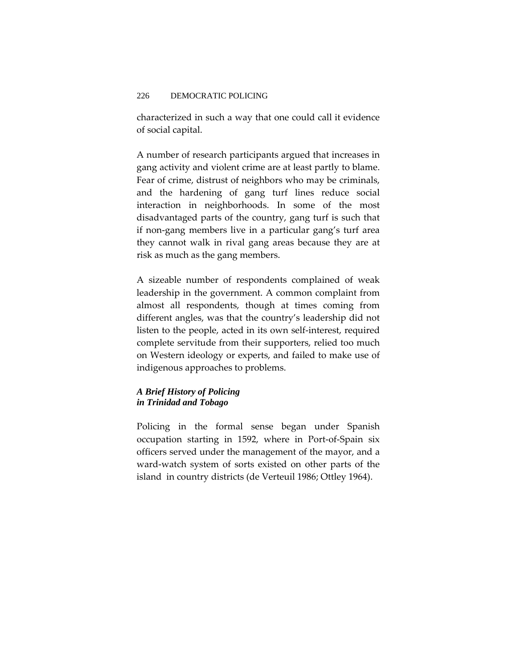characterized in such a way that one could call it evidence of social capital.

A number of research participants argued that increases in gang activity and violent crime are at least partly to blame. Fear of crime, distrust of neighbors who may be criminals, and the hardening of gang turf lines reduce social interaction in neighborhoods. In some of the most disadvantaged parts of the country, gang turf is such that if non‐gang members live in a particular gang's turf area they cannot walk in rival gang areas because they are at risk as much as the gang members.

A sizeable number of respondents complained of weak leadership in the government. A common complaint from almost all respondents, though at times coming from different angles, was that the country's leadership did not listen to the people, acted in its own self‐interest, required complete servitude from their supporters, relied too much on Western ideology or experts, and failed to make use of indigenous approaches to problems.

### *A Brief History of Policing in Trinidad and Tobago*

Policing in the formal sense began under Spanish occupation starting in 1592, where in Port‐of‐Spain six officers served under the management of the mayor, and a ward‐watch system of sorts existed on other parts of the island in country districts (de Verteuil 1986; Ottley 1964).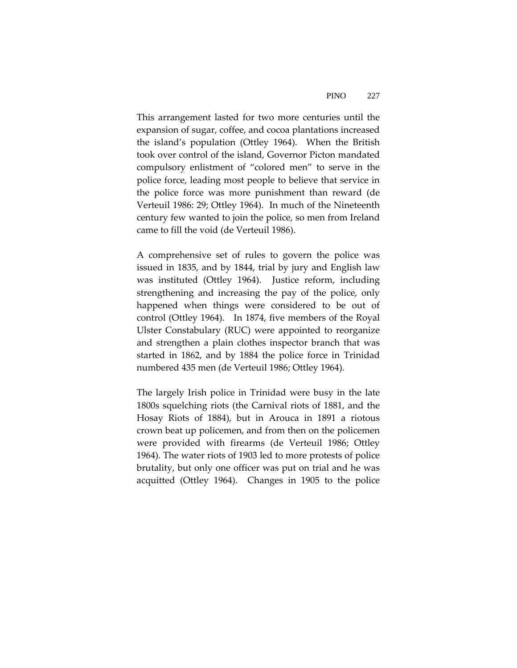This arrangement lasted for two more centuries until the expansion of sugar, coffee, and cocoa plantations increased the island's population (Ottley 1964). When the British took over control of the island, Governor Picton mandated compulsory enlistment of "colored men" to serve in the police force, leading most people to believe that service in the police force was more punishment than reward (de Verteuil 1986: 29; Ottley 1964). In much of the Nineteenth century few wanted to join the police, so men from Ireland came to fill the void (de Verteuil 1986).

A comprehensive set of rules to govern the police was issued in 1835, and by 1844, trial by jury and English law was instituted (Ottley 1964). Justice reform, including strengthening and increasing the pay of the police, only happened when things were considered to be out of control (Ottley 1964). In 1874, five members of the Royal Ulster Constabulary (RUC) were appointed to reorganize and strengthen a plain clothes inspector branch that was started in 1862, and by 1884 the police force in Trinidad numbered 435 men (de Verteuil 1986; Ottley 1964).

The largely Irish police in Trinidad were busy in the late 1800s squelching riots (the Carnival riots of 1881, and the Hosay Riots of 1884), but in Arouca in 1891 a riotous crown beat up policemen, and from then on the policemen were provided with firearms (de Verteuil 1986; Ottley 1964). The water riots of 1903 led to more protests of police brutality, but only one officer was put on trial and he was acquitted (Ottley 1964). Changes in 1905 to the police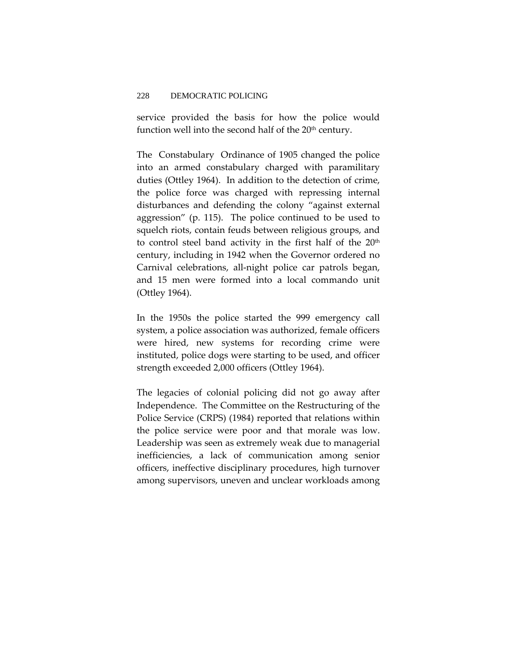service provided the basis for how the police would function well into the second half of the 20<sup>th</sup> century.

The Constabulary Ordinance of 1905 changed the police into an armed constabulary charged with paramilitary duties (Ottley 1964). In addition to the detection of crime, the police force was charged with repressing internal disturbances and defending the colony "against external aggression" (p. 115). The police continued to be used to squelch riots, contain feuds between religious groups, and to control steel band activity in the first half of the 20<sup>th</sup> century, including in 1942 when the Governor ordered no Carnival celebrations, all‐night police car patrols began, and 15 men were formed into a local commando unit (Ottley 1964).

In the 1950s the police started the 999 emergency call system, a police association was authorized, female officers were hired, new systems for recording crime were instituted, police dogs were starting to be used, and officer strength exceeded 2,000 officers (Ottley 1964).

The legacies of colonial policing did not go away after Independence. The Committee on the Restructuring of the Police Service (CRPS) (1984) reported that relations within the police service were poor and that morale was low. Leadership was seen as extremely weak due to managerial inefficiencies, a lack of communication among senior officers, ineffective disciplinary procedures, high turnover among supervisors, uneven and unclear workloads among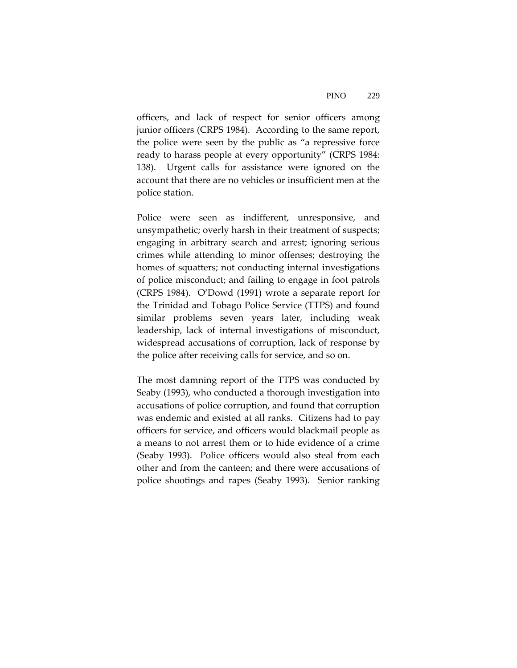officers, and lack of respect for senior officers among junior officers (CRPS 1984). According to the same report, the police were seen by the public as "a repressive force ready to harass people at every opportunity" (CRPS 1984: 138). Urgent calls for assistance were ignored on the account that there are no vehicles or insufficient men at the police station.

Police were seen as indifferent, unresponsive, and unsympathetic; overly harsh in their treatment of suspects; engaging in arbitrary search and arrest; ignoring serious crimes while attending to minor offenses; destroying the homes of squatters; not conducting internal investigations of police misconduct; and failing to engage in foot patrols (CRPS 1984). O'Dowd (1991) wrote a separate report for the Trinidad and Tobago Police Service (TTPS) and found similar problems seven years later, including weak leadership, lack of internal investigations of misconduct, widespread accusations of corruption, lack of response by the police after receiving calls for service, and so on.

The most damning report of the TTPS was conducted by Seaby (1993), who conducted a thorough investigation into accusations of police corruption, and found that corruption was endemic and existed at all ranks. Citizens had to pay officers for service, and officers would blackmail people as a means to not arrest them or to hide evidence of a crime (Seaby 1993). Police officers would also steal from each other and from the canteen; and there were accusations of police shootings and rapes (Seaby 1993). Senior ranking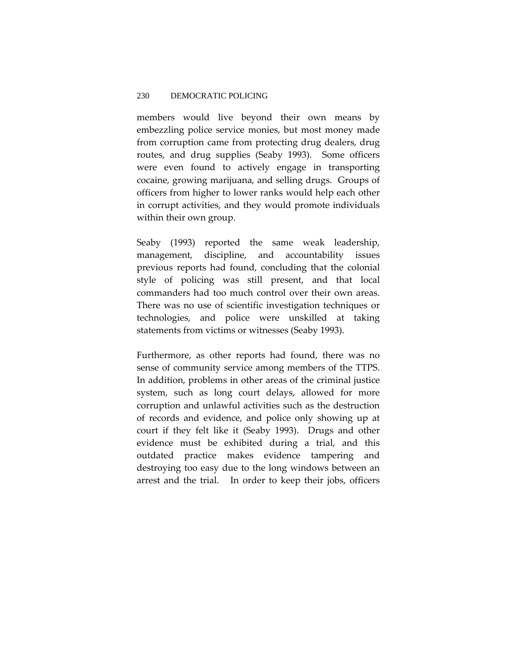members would live beyond their own means by embezzling police service monies, but most money made from corruption came from protecting drug dealers, drug routes, and drug supplies (Seaby 1993). Some officers were even found to actively engage in transporting cocaine, growing marijuana, and selling drugs. Groups of officers from higher to lower ranks would help each other in corrupt activities, and they would promote individuals within their own group.

Seaby (1993) reported the same weak leadership, management, discipline, and accountability issues previous reports had found, concluding that the colonial style of policing was still present, and that local commanders had too much control over their own areas. There was no use of scientific investigation techniques or technologies, and police were unskilled at taking statements from victims or witnesses (Seaby 1993).

Furthermore, as other reports had found, there was no sense of community service among members of the TTPS. In addition, problems in other areas of the criminal justice system, such as long court delays, allowed for more corruption and unlawful activities such as the destruction of records and evidence, and police only showing up at court if they felt like it (Seaby 1993). Drugs and other evidence must be exhibited during a trial, and this outdated practice makes evidence tampering and destroying too easy due to the long windows between an arrest and the trial. In order to keep their jobs, officers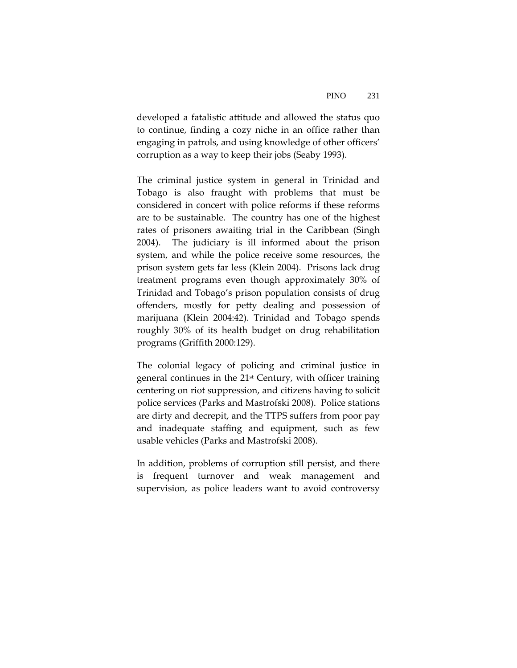developed a fatalistic attitude and allowed the status quo to continue, finding a cozy niche in an office rather than engaging in patrols, and using knowledge of other officers' corruption as a way to keep their jobs (Seaby 1993).

The criminal justice system in general in Trinidad and Tobago is also fraught with problems that must be considered in concert with police reforms if these reforms are to be sustainable. The country has one of the highest rates of prisoners awaiting trial in the Caribbean (Singh 2004). The judiciary is ill informed about the prison system, and while the police receive some resources, the prison system gets far less (Klein 2004). Prisons lack drug treatment programs even though approximately 30% of Trinidad and Tobago's prison population consists of drug offenders, mostly for petty dealing and possession of marijuana (Klein 2004:42). Trinidad and Tobago spends roughly 30% of its health budget on drug rehabilitation programs (Griffith 2000:129).

The colonial legacy of policing and criminal justice in general continues in the 21st Century, with officer training centering on riot suppression, and citizens having to solicit police services (Parks and Mastrofski 2008). Police stations are dirty and decrepit, and the TTPS suffers from poor pay and inadequate staffing and equipment, such as few usable vehicles (Parks and Mastrofski 2008).

In addition, problems of corruption still persist, and there is frequent turnover and weak management and supervision, as police leaders want to avoid controversy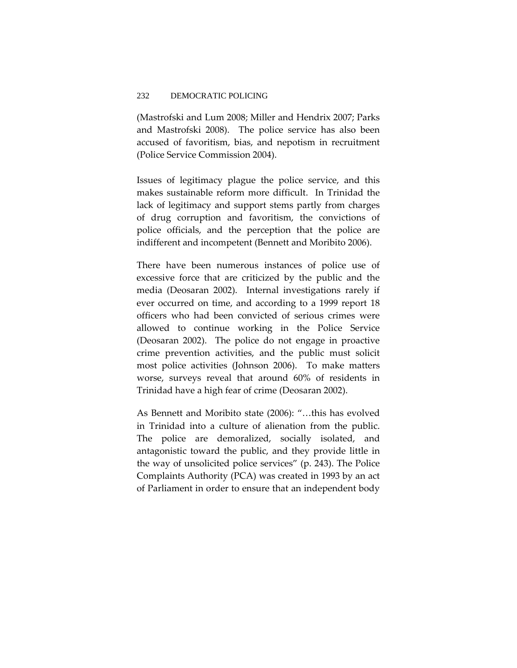(Mastrofski and Lum 2008; Miller and Hendrix 2007; Parks and Mastrofski 2008). The police service has also been accused of favoritism, bias, and nepotism in recruitment (Police Service Commission 2004).

Issues of legitimacy plague the police service, and this makes sustainable reform more difficult. In Trinidad the lack of legitimacy and support stems partly from charges of drug corruption and favoritism, the convictions of police officials, and the perception that the police are indifferent and incompetent (Bennett and Moribito 2006).

There have been numerous instances of police use of excessive force that are criticized by the public and the media (Deosaran 2002). Internal investigations rarely if ever occurred on time, and according to a 1999 report 18 officers who had been convicted of serious crimes were allowed to continue working in the Police Service (Deosaran 2002). The police do not engage in proactive crime prevention activities, and the public must solicit most police activities (Johnson 2006). To make matters worse, surveys reveal that around 60% of residents in Trinidad have a high fear of crime (Deosaran 2002).

As Bennett and Moribito state (2006): "…this has evolved in Trinidad into a culture of alienation from the public. The police are demoralized, socially isolated, and antagonistic toward the public, and they provide little in the way of unsolicited police services" (p. 243). The Police Complaints Authority (PCA) was created in 1993 by an act of Parliament in order to ensure that an independent body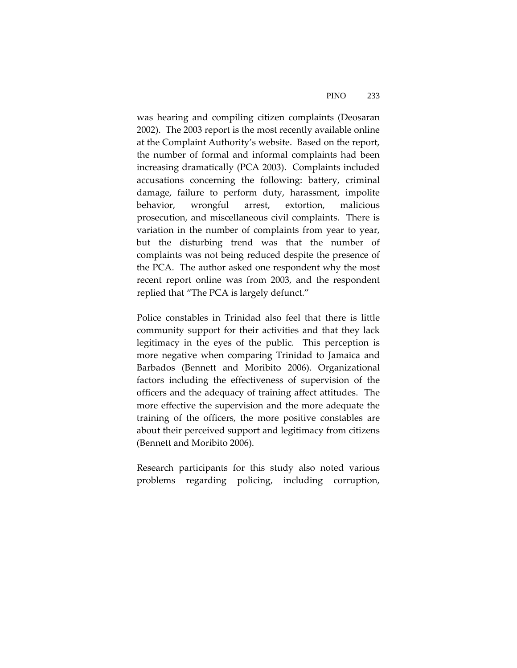was hearing and compiling citizen complaints (Deosaran 2002). The 2003 report is the most recently available online at the Complaint Authority's website. Based on the report, the number of formal and informal complaints had been increasing dramatically (PCA 2003). Complaints included accusations concerning the following: battery, criminal damage, failure to perform duty, harassment, impolite behavior, wrongful arrest, extortion, malicious prosecution, and miscellaneous civil complaints. There is variation in the number of complaints from year to year, but the disturbing trend was that the number of complaints was not being reduced despite the presence of the PCA. The author asked one respondent why the most recent report online was from 2003, and the respondent replied that "The PCA is largely defunct."

Police constables in Trinidad also feel that there is little community support for their activities and that they lack legitimacy in the eyes of the public. This perception is more negative when comparing Trinidad to Jamaica and Barbados (Bennett and Moribito 2006). Organizational factors including the effectiveness of supervision of the officers and the adequacy of training affect attitudes. The more effective the supervision and the more adequate the training of the officers, the more positive constables are about their perceived support and legitimacy from citizens (Bennett and Moribito 2006).

Research participants for this study also noted various problems regarding policing, including corruption,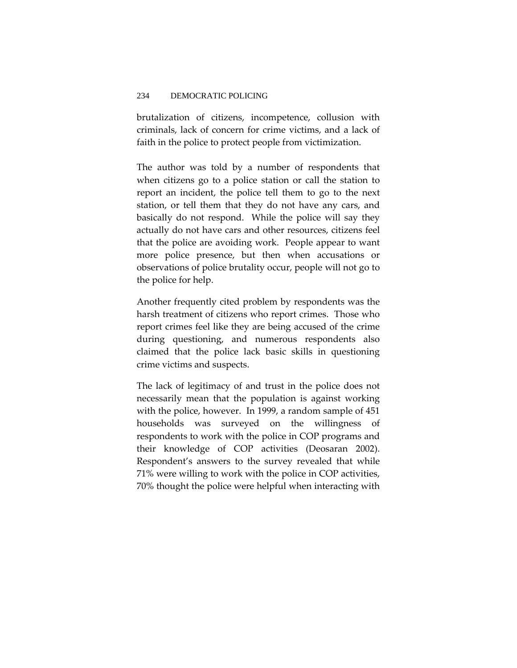brutalization of citizens, incompetence, collusion with criminals, lack of concern for crime victims, and a lack of faith in the police to protect people from victimization.

The author was told by a number of respondents that when citizens go to a police station or call the station to report an incident, the police tell them to go to the next station, or tell them that they do not have any cars, and basically do not respond. While the police will say they actually do not have cars and other resources, citizens feel that the police are avoiding work. People appear to want more police presence, but then when accusations or observations of police brutality occur, people will not go to the police for help.

Another frequently cited problem by respondents was the harsh treatment of citizens who report crimes. Those who report crimes feel like they are being accused of the crime during questioning, and numerous respondents also claimed that the police lack basic skills in questioning crime victims and suspects.

The lack of legitimacy of and trust in the police does not necessarily mean that the population is against working with the police, however. In 1999, a random sample of 451 households was surveyed on the willingness of respondents to work with the police in COP programs and their knowledge of COP activities (Deosaran 2002). Respondent's answers to the survey revealed that while 71% were willing to work with the police in COP activities, 70% thought the police were helpful when interacting with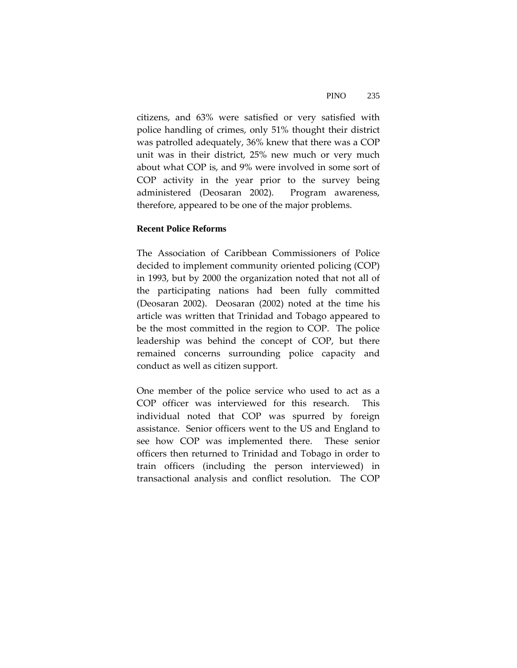citizens, and 63% were satisfied or very satisfied with police handling of crimes, only 51% thought their district was patrolled adequately, 36% knew that there was a COP unit was in their district, 25% new much or very much about what COP is, and 9% were involved in some sort of COP activity in the year prior to the survey being administered (Deosaran 2002). Program awareness, therefore, appeared to be one of the major problems.

### **Recent Police Reforms**

The Association of Caribbean Commissioners of Police decided to implement community oriented policing (COP) in 1993, but by 2000 the organization noted that not all of the participating nations had been fully committed (Deosaran 2002). Deosaran (2002) noted at the time his article was written that Trinidad and Tobago appeared to be the most committed in the region to COP. The police leadership was behind the concept of COP, but there remained concerns surrounding police capacity and conduct as well as citizen support.

One member of the police service who used to act as a COP officer was interviewed for this research. This individual noted that COP was spurred by foreign assistance. Senior officers went to the US and England to see how COP was implemented there. These senior officers then returned to Trinidad and Tobago in order to train officers (including the person interviewed) in transactional analysis and conflict resolution. The COP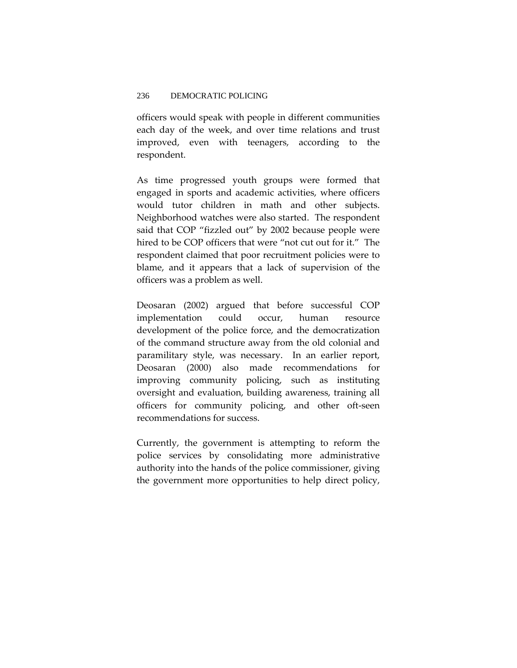officers would speak with people in different communities each day of the week, and over time relations and trust improved, even with teenagers, according to the respondent.

As time progressed youth groups were formed that engaged in sports and academic activities, where officers would tutor children in math and other subjects. Neighborhood watches were also started. The respondent said that COP "fizzled out" by 2002 because people were hired to be COP officers that were "not cut out for it." The respondent claimed that poor recruitment policies were to blame, and it appears that a lack of supervision of the officers was a problem as well.

Deosaran (2002) argued that before successful COP implementation could occur, human resource development of the police force, and the democratization of the command structure away from the old colonial and paramilitary style, was necessary. In an earlier report, Deosaran (2000) also made recommendations for improving community policing, such as instituting oversight and evaluation, building awareness, training all officers for community policing, and other oft‐seen recommendations for success.

Currently, the government is attempting to reform the police services by consolidating more administrative authority into the hands of the police commissioner, giving the government more opportunities to help direct policy,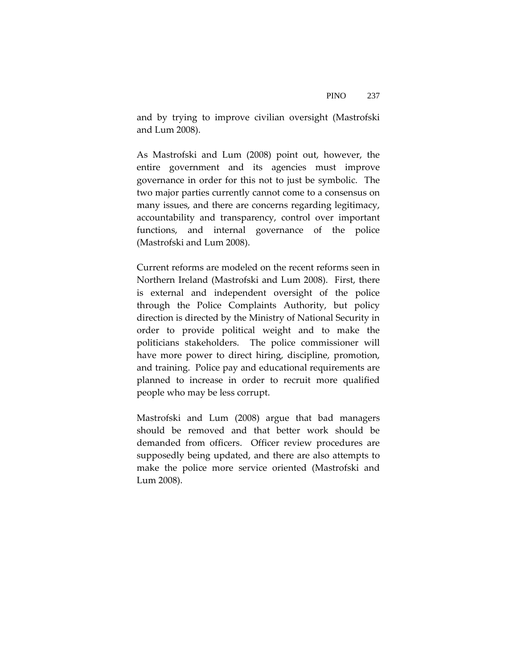and by trying to improve civilian oversight (Mastrofski and Lum 2008).

As Mastrofski and Lum (2008) point out, however, the entire government and its agencies must improve governance in order for this not to just be symbolic. The two major parties currently cannot come to a consensus on many issues, and there are concerns regarding legitimacy, accountability and transparency, control over important functions, and internal governance of the police (Mastrofski and Lum 2008).

Current reforms are modeled on the recent reforms seen in Northern Ireland (Mastrofski and Lum 2008). First, there is external and independent oversight of the police through the Police Complaints Authority, but policy direction is directed by the Ministry of National Security in order to provide political weight and to make the politicians stakeholders. The police commissioner will have more power to direct hiring, discipline, promotion, and training. Police pay and educational requirements are planned to increase in order to recruit more qualified people who may be less corrupt.

Mastrofski and Lum (2008) argue that bad managers should be removed and that better work should be demanded from officers. Officer review procedures are supposedly being updated, and there are also attempts to make the police more service oriented (Mastrofski and Lum 2008).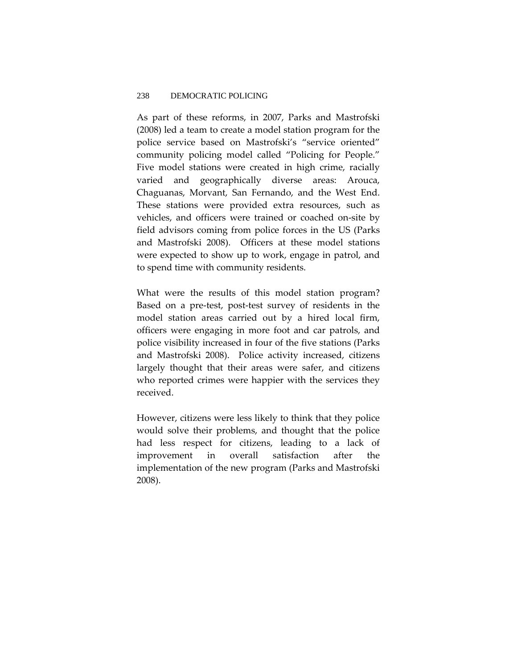As part of these reforms, in 2007, Parks and Mastrofski (2008) led a team to create a model station program for the police service based on Mastrofski's "service oriented" community policing model called "Policing for People." Five model stations were created in high crime, racially varied and geographically diverse areas: Arouca, Chaguanas, Morvant, San Fernando, and the West End. These stations were provided extra resources, such as vehicles, and officers were trained or coached on‐site by field advisors coming from police forces in the US (Parks and Mastrofski 2008). Officers at these model stations were expected to show up to work, engage in patrol, and to spend time with community residents.

What were the results of this model station program? Based on a pre‐test, post‐test survey of residents in the model station areas carried out by a hired local firm, officers were engaging in more foot and car patrols, and police visibility increased in four of the five stations (Parks and Mastrofski 2008). Police activity increased, citizens largely thought that their areas were safer, and citizens who reported crimes were happier with the services they received.

However, citizens were less likely to think that they police would solve their problems, and thought that the police had less respect for citizens, leading to a lack of improvement in overall satisfaction after the implementation of the new program (Parks and Mastrofski 2008).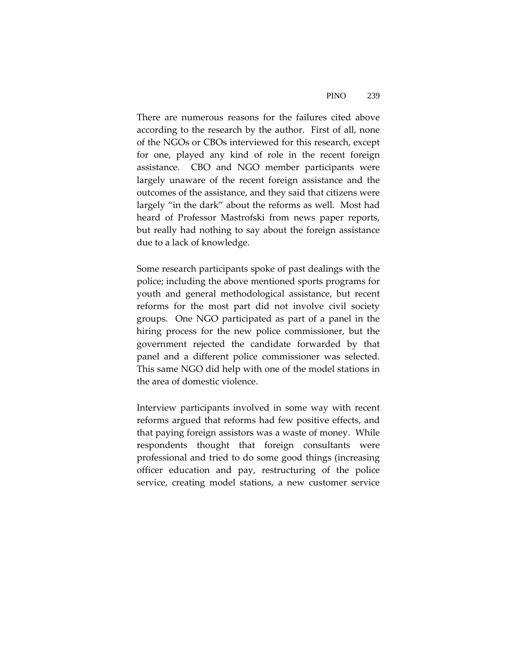There are numerous reasons for the failures cited above according to the research by the author. First of all, none of the NGOs or CBOs interviewed for this research, except for one, played any kind of role in the recent foreign assistance. CBO and NGO member participants were largely unaware of the recent foreign assistance and the outcomes of the assistance, and they said that citizens were largely "in the dark" about the reforms as well. Most had heard of Professor Mastrofski from news paper reports, but really had nothing to say about the foreign assistance due to a lack of knowledge.

Some research participants spoke of past dealings with the police; including the above mentioned sports programs for youth and general methodological assistance, but recent reforms for the most part did not involve civil society groups. One NGO participated as part of a panel in the hiring process for the new police commissioner, but the government rejected the candidate forwarded by that panel and a different police commissioner was selected. This same NGO did help with one of the model stations in the area of domestic violence.

Interview participants involved in some way with recent reforms argued that reforms had few positive effects, and that paying foreign assistors was a waste of money. While respondents thought that foreign consultants were professional and tried to do some good things (increasing officer education and pay, restructuring of the police service, creating model stations, a new customer service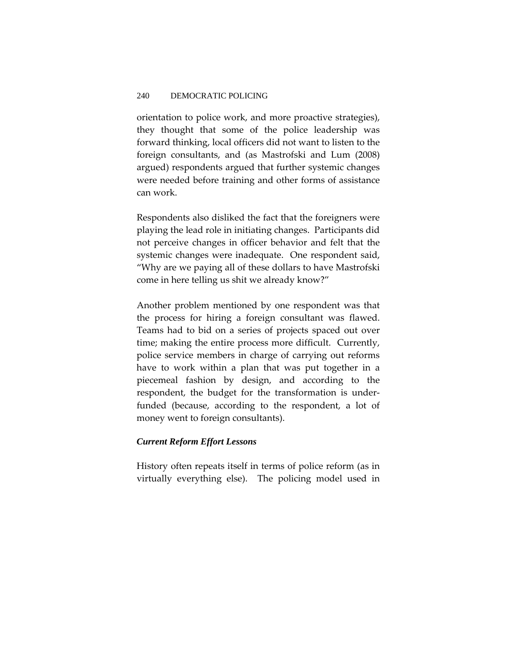orientation to police work, and more proactive strategies), they thought that some of the police leadership was forward thinking, local officers did not want to listen to the foreign consultants, and (as Mastrofski and Lum (2008) argued) respondents argued that further systemic changes were needed before training and other forms of assistance can work.

Respondents also disliked the fact that the foreigners were playing the lead role in initiating changes. Participants did not perceive changes in officer behavior and felt that the systemic changes were inadequate. One respondent said, "Why are we paying all of these dollars to have Mastrofski come in here telling us shit we already know?"

Another problem mentioned by one respondent was that the process for hiring a foreign consultant was flawed. Teams had to bid on a series of projects spaced out over time; making the entire process more difficult. Currently, police service members in charge of carrying out reforms have to work within a plan that was put together in a piecemeal fashion by design, and according to the respondent, the budget for the transformation is under‐ funded (because, according to the respondent, a lot of money went to foreign consultants).

# *Current Reform Effort Lessons*

History often repeats itself in terms of police reform (as in virtually everything else). The policing model used in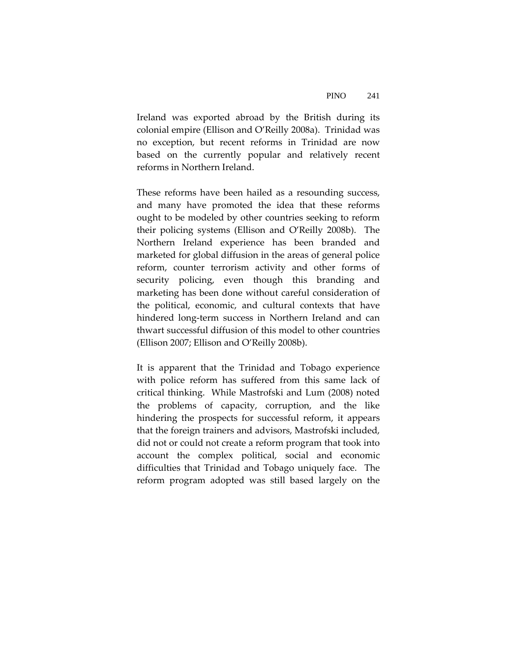Ireland was exported abroad by the British during its colonial empire (Ellison and O'Reilly 2008a). Trinidad was no exception, but recent reforms in Trinidad are now based on the currently popular and relatively recent reforms in Northern Ireland.

These reforms have been hailed as a resounding success, and many have promoted the idea that these reforms ought to be modeled by other countries seeking to reform their policing systems (Ellison and O'Reilly 2008b). The Northern Ireland experience has been branded and marketed for global diffusion in the areas of general police reform, counter terrorism activity and other forms of security policing, even though this branding and marketing has been done without careful consideration of the political, economic, and cultural contexts that have hindered long‐term success in Northern Ireland and can thwart successful diffusion of this model to other countries (Ellison 2007; Ellison and O'Reilly 2008b).

It is apparent that the Trinidad and Tobago experience with police reform has suffered from this same lack of critical thinking. While Mastrofski and Lum (2008) noted the problems of capacity, corruption, and the like hindering the prospects for successful reform, it appears that the foreign trainers and advisors, Mastrofski included, did not or could not create a reform program that took into account the complex political, social and economic difficulties that Trinidad and Tobago uniquely face. The reform program adopted was still based largely on the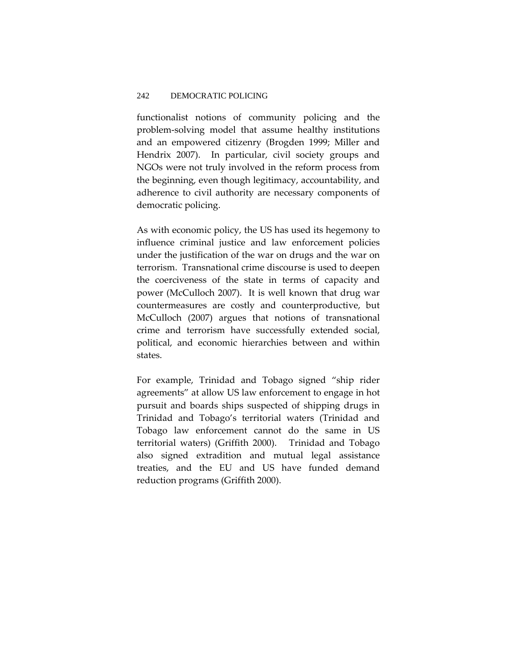functionalist notions of community policing and the problem‐solving model that assume healthy institutions and an empowered citizenry (Brogden 1999; Miller and Hendrix 2007). In particular, civil society groups and NGOs were not truly involved in the reform process from the beginning, even though legitimacy, accountability, and adherence to civil authority are necessary components of democratic policing.

As with economic policy, the US has used its hegemony to influence criminal justice and law enforcement policies under the justification of the war on drugs and the war on terrorism. Transnational crime discourse is used to deepen the coerciveness of the state in terms of capacity and power (McCulloch 2007). It is well known that drug war countermeasures are costly and counterproductive, but McCulloch (2007) argues that notions of transnational crime and terrorism have successfully extended social, political, and economic hierarchies between and within states.

For example, Trinidad and Tobago signed "ship rider agreements" at allow US law enforcement to engage in hot pursuit and boards ships suspected of shipping drugs in Trinidad and Tobago's territorial waters (Trinidad and Tobago law enforcement cannot do the same in US territorial waters) (Griffith 2000). Trinidad and Tobago also signed extradition and mutual legal assistance treaties, and the EU and US have funded demand reduction programs (Griffith 2000).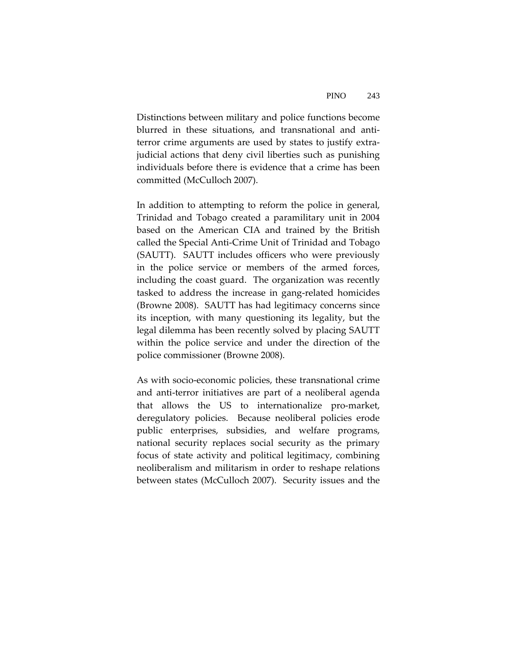Distinctions between military and police functions become blurred in these situations, and transnational and anti‐ terror crime arguments are used by states to justify extrajudicial actions that deny civil liberties such as punishing individuals before there is evidence that a crime has been committed (McCulloch 2007).

In addition to attempting to reform the police in general, Trinidad and Tobago created a paramilitary unit in 2004 based on the American CIA and trained by the British called the Special Anti‐Crime Unit of Trinidad and Tobago (SAUTT). SAUTT includes officers who were previously in the police service or members of the armed forces, including the coast guard. The organization was recently tasked to address the increase in gang‐related homicides (Browne 2008). SAUTT has had legitimacy concerns since its inception, with many questioning its legality, but the legal dilemma has been recently solved by placing SAUTT within the police service and under the direction of the police commissioner (Browne 2008).

As with socio‐economic policies, these transnational crime and anti-terror initiatives are part of a neoliberal agenda that allows the US to internationalize pro‐market, deregulatory policies. Because neoliberal policies erode public enterprises, subsidies, and welfare programs, national security replaces social security as the primary focus of state activity and political legitimacy, combining neoliberalism and militarism in order to reshape relations between states (McCulloch 2007). Security issues and the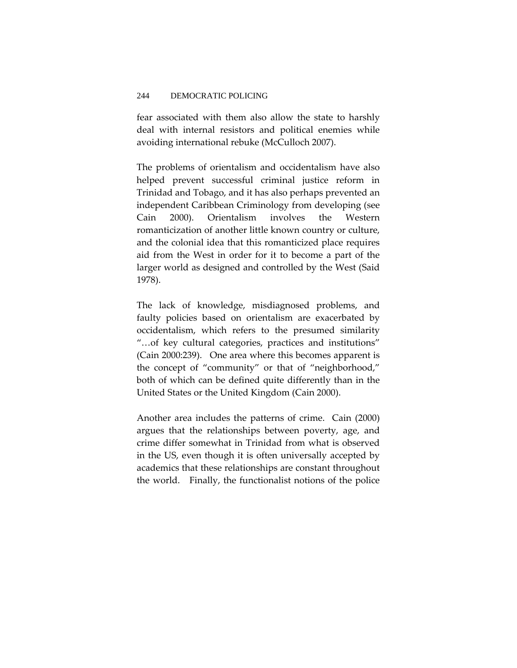fear associated with them also allow the state to harshly deal with internal resistors and political enemies while avoiding international rebuke (McCulloch 2007).

The problems of orientalism and occidentalism have also helped prevent successful criminal justice reform in Trinidad and Tobago, and it has also perhaps prevented an independent Caribbean Criminology from developing (see Cain 2000). Orientalism involves the Western romanticization of another little known country or culture, and the colonial idea that this romanticized place requires aid from the West in order for it to become a part of the larger world as designed and controlled by the West (Said 1978).

The lack of knowledge, misdiagnosed problems, and faulty policies based on orientalism are exacerbated by occidentalism, which refers to the presumed similarity "…of key cultural categories, practices and institutions" (Cain 2000:239). One area where this becomes apparent is the concept of "community" or that of "neighborhood," both of which can be defined quite differently than in the United States or the United Kingdom (Cain 2000).

Another area includes the patterns of crime. Cain (2000) argues that the relationships between poverty, age, and crime differ somewhat in Trinidad from what is observed in the US, even though it is often universally accepted by academics that these relationships are constant throughout the world. Finally, the functionalist notions of the police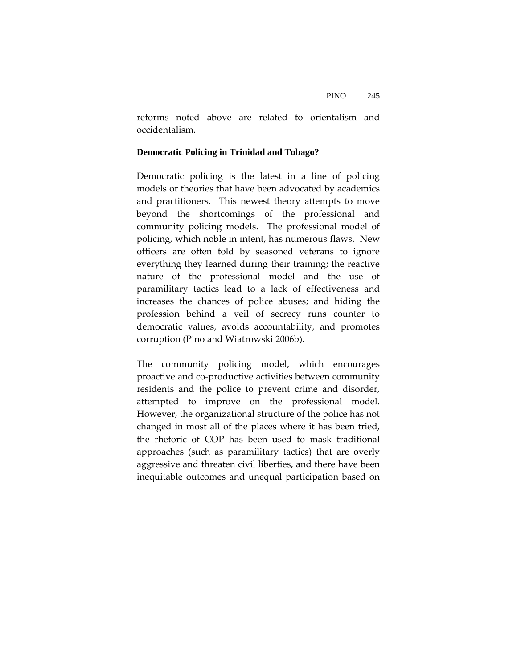reforms noted above are related to orientalism and occidentalism.

# **Democratic Policing in Trinidad and Tobago?**

Democratic policing is the latest in a line of policing models or theories that have been advocated by academics and practitioners. This newest theory attempts to move beyond the shortcomings of the professional and community policing models. The professional model of policing, which noble in intent, has numerous flaws. New officers are often told by seasoned veterans to ignore everything they learned during their training; the reactive nature of the professional model and the use of paramilitary tactics lead to a lack of effectiveness and increases the chances of police abuses; and hiding the profession behind a veil of secrecy runs counter to democratic values, avoids accountability, and promotes corruption (Pino and Wiatrowski 2006b).

The community policing model, which encourages proactive and co‐productive activities between community residents and the police to prevent crime and disorder, attempted to improve on the professional model. However, the organizational structure of the police has not changed in most all of the places where it has been tried, the rhetoric of COP has been used to mask traditional approaches (such as paramilitary tactics) that are overly aggressive and threaten civil liberties, and there have been inequitable outcomes and unequal participation based on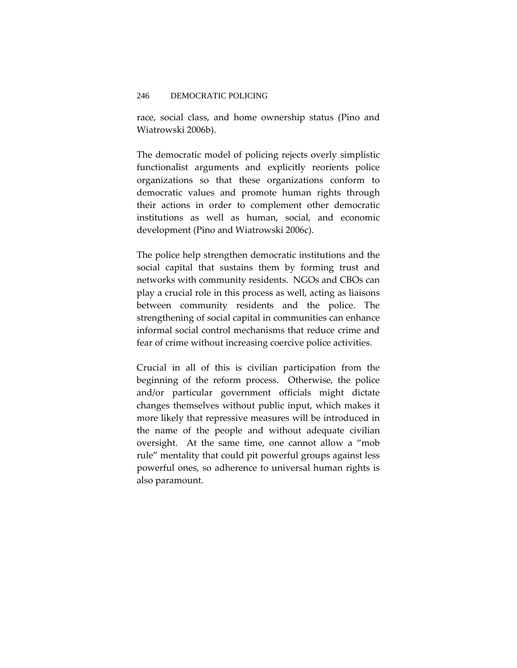race, social class, and home ownership status (Pino and Wiatrowski 2006b).

The democratic model of policing rejects overly simplistic functionalist arguments and explicitly reorients police organizations so that these organizations conform to democratic values and promote human rights through their actions in order to complement other democratic institutions as well as human, social, and economic development (Pino and Wiatrowski 2006c).

The police help strengthen democratic institutions and the social capital that sustains them by forming trust and networks with community residents. NGOs and CBOs can play a crucial role in this process as well, acting as liaisons between community residents and the police. The strengthening of social capital in communities can enhance informal social control mechanisms that reduce crime and fear of crime without increasing coercive police activities.

Crucial in all of this is civilian participation from the beginning of the reform process. Otherwise, the police and/or particular government officials might dictate changes themselves without public input, which makes it more likely that repressive measures will be introduced in the name of the people and without adequate civilian oversight. At the same time, one cannot allow a "mob rule" mentality that could pit powerful groups against less powerful ones, so adherence to universal human rights is also paramount.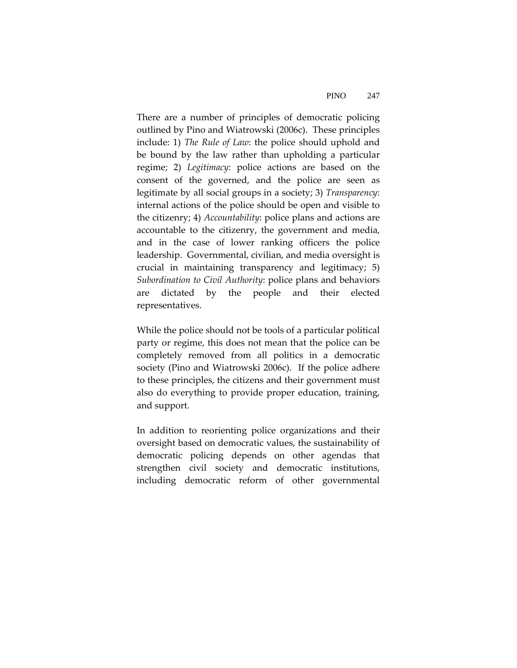There are a number of principles of democratic policing outlined by Pino and Wiatrowski (2006c). These principles include: 1) *The Rule of Law*: the police should uphold and be bound by the law rather than upholding a particular regime; 2) *Legitimacy*: police actions are based on the consent of the governed, and the police are seen as legitimate by all social groups in a society; 3) *Transparency*: internal actions of the police should be open and visible to the citizenry; 4) *Accountability*: police plans and actions are accountable to the citizenry, the government and media, and in the case of lower ranking officers the police leadership. Governmental, civilian, and media oversight is crucial in maintaining transparency and legitimacy; 5) *Subordination to Civil Authority*: police plans and behaviors are dictated by the people and their elected representatives.

While the police should not be tools of a particular political party or regime, this does not mean that the police can be completely removed from all politics in a democratic society (Pino and Wiatrowski 2006c). If the police adhere to these principles, the citizens and their government must also do everything to provide proper education, training, and support.

In addition to reorienting police organizations and their oversight based on democratic values, the sustainability of democratic policing depends on other agendas that strengthen civil society and democratic institutions, including democratic reform of other governmental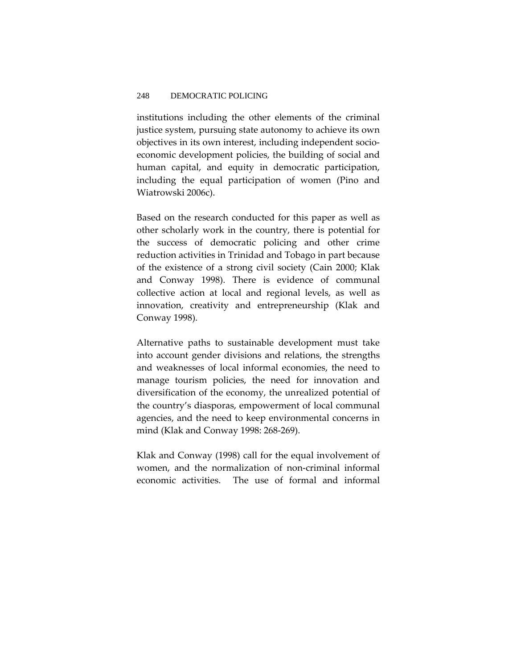institutions including the other elements of the criminal justice system, pursuing state autonomy to achieve its own objectives in its own interest, including independent socio‐ economic development policies, the building of social and human capital, and equity in democratic participation, including the equal participation of women (Pino and Wiatrowski 2006c).

Based on the research conducted for this paper as well as other scholarly work in the country, there is potential for the success of democratic policing and other crime reduction activities in Trinidad and Tobago in part because of the existence of a strong civil society (Cain 2000; Klak and Conway 1998). There is evidence of communal collective action at local and regional levels, as well as innovation, creativity and entrepreneurship (Klak and Conway 1998).

Alternative paths to sustainable development must take into account gender divisions and relations, the strengths and weaknesses of local informal economies, the need to manage tourism policies, the need for innovation and diversification of the economy, the unrealized potential of the country's diasporas, empowerment of local communal agencies, and the need to keep environmental concerns in mind (Klak and Conway 1998: 268‐269).

Klak and Conway (1998) call for the equal involvement of women, and the normalization of non‐criminal informal economic activities. The use of formal and informal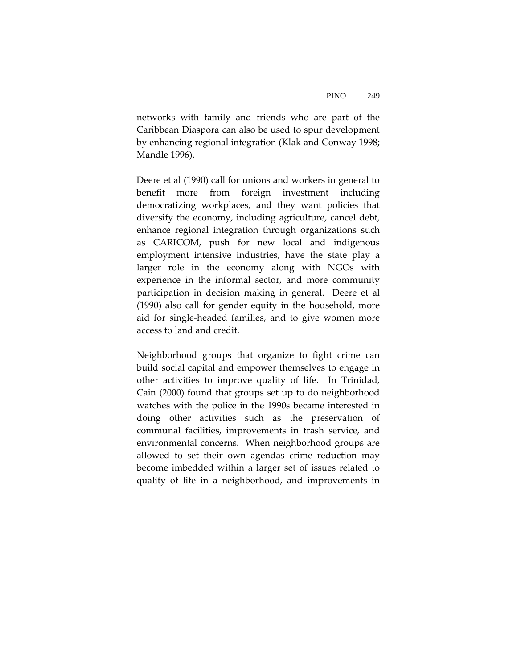networks with family and friends who are part of the Caribbean Diaspora can also be used to spur development by enhancing regional integration (Klak and Conway 1998; Mandle 1996).

Deere et al (1990) call for unions and workers in general to benefit more from foreign investment including democratizing workplaces, and they want policies that diversify the economy, including agriculture, cancel debt, enhance regional integration through organizations such as CARICOM, push for new local and indigenous employment intensive industries, have the state play a larger role in the economy along with NGOs with experience in the informal sector, and more community participation in decision making in general. Deere et al (1990) also call for gender equity in the household, more aid for single‐headed families, and to give women more access to land and credit.

Neighborhood groups that organize to fight crime can build social capital and empower themselves to engage in other activities to improve quality of life. In Trinidad, Cain (2000) found that groups set up to do neighborhood watches with the police in the 1990s became interested in doing other activities such as the preservation of communal facilities, improvements in trash service, and environmental concerns. When neighborhood groups are allowed to set their own agendas crime reduction may become imbedded within a larger set of issues related to quality of life in a neighborhood, and improvements in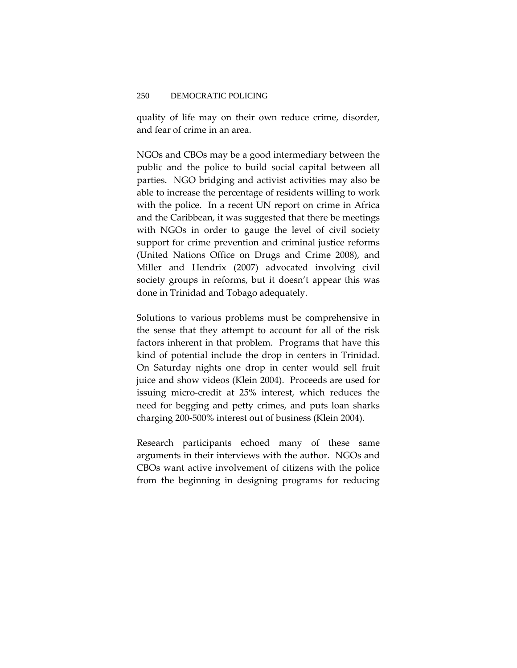quality of life may on their own reduce crime, disorder, and fear of crime in an area.

NGOs and CBOs may be a good intermediary between the public and the police to build social capital between all parties. NGO bridging and activist activities may also be able to increase the percentage of residents willing to work with the police. In a recent UN report on crime in Africa and the Caribbean, it was suggested that there be meetings with NGOs in order to gauge the level of civil society support for crime prevention and criminal justice reforms (United Nations Office on Drugs and Crime 2008), and Miller and Hendrix (2007) advocated involving civil society groups in reforms, but it doesn't appear this was done in Trinidad and Tobago adequately.

Solutions to various problems must be comprehensive in the sense that they attempt to account for all of the risk factors inherent in that problem. Programs that have this kind of potential include the drop in centers in Trinidad. On Saturday nights one drop in center would sell fruit juice and show videos (Klein 2004). Proceeds are used for issuing micro‐credit at 25% interest, which reduces the need for begging and petty crimes, and puts loan sharks charging 200‐500% interest out of business (Klein 2004).

Research participants echoed many of these same arguments in their interviews with the author. NGOs and CBOs want active involvement of citizens with the police from the beginning in designing programs for reducing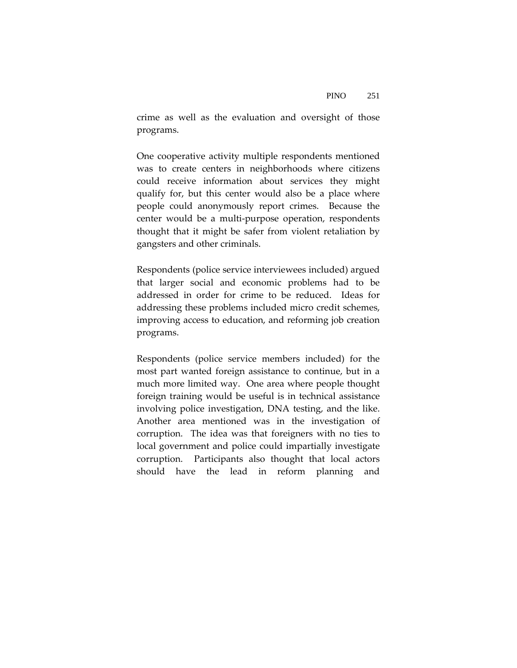crime as well as the evaluation and oversight of those programs.

One cooperative activity multiple respondents mentioned was to create centers in neighborhoods where citizens could receive information about services they might qualify for, but this center would also be a place where people could anonymously report crimes. Because the center would be a multi‐purpose operation, respondents thought that it might be safer from violent retaliation by gangsters and other criminals.

Respondents (police service interviewees included) argued that larger social and economic problems had to be addressed in order for crime to be reduced. Ideas for addressing these problems included micro credit schemes, improving access to education, and reforming job creation programs.

Respondents (police service members included) for the most part wanted foreign assistance to continue, but in a much more limited way. One area where people thought foreign training would be useful is in technical assistance involving police investigation, DNA testing, and the like. Another area mentioned was in the investigation of corruption. The idea was that foreigners with no ties to local government and police could impartially investigate corruption. Participants also thought that local actors should have the lead in reform planning and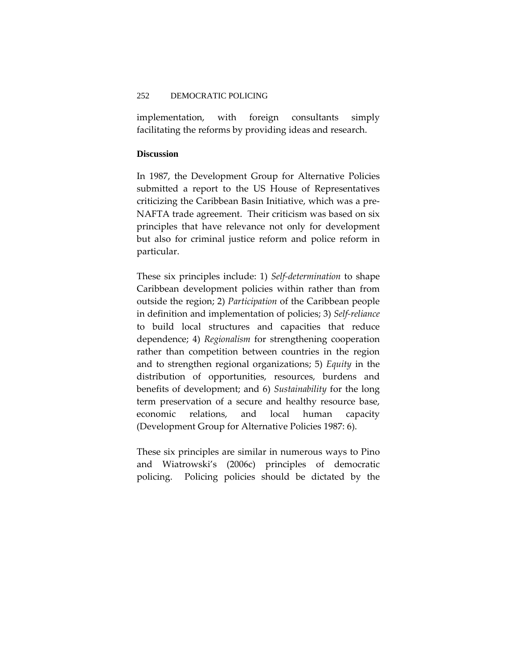implementation, with foreign consultants simply facilitating the reforms by providing ideas and research.

### **Discussion**

In 1987, the Development Group for Alternative Policies submitted a report to the US House of Representatives criticizing the Caribbean Basin Initiative, which was a pre‐ NAFTA trade agreement. Their criticism was based on six principles that have relevance not only for development but also for criminal justice reform and police reform in particular.

These six principles include: 1) *Self‐determination* to shape Caribbean development policies within rather than from outside the region; 2) *Participation* of the Caribbean people in definition and implementation of policies; 3) *Self‐reliance* to build local structures and capacities that reduce dependence; 4) *Regionalism* for strengthening cooperation rather than competition between countries in the region and to strengthen regional organizations; 5) *Equity* in the distribution of opportunities, resources, burdens and benefits of development; and 6) *Sustainability* for the long term preservation of a secure and healthy resource base, economic relations, and local human capacity (Development Group for Alternative Policies 1987: 6).

These six principles are similar in numerous ways to Pino and Wiatrowski's (2006c) principles of democratic policing. Policing policies should be dictated by the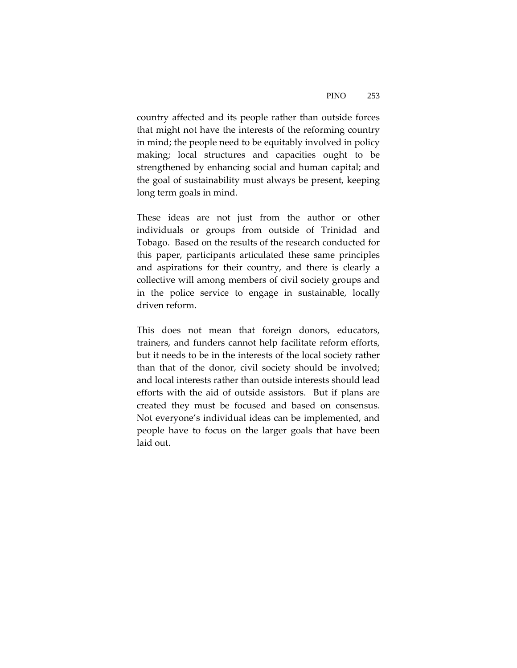country affected and its people rather than outside forces that might not have the interests of the reforming country in mind; the people need to be equitably involved in policy making; local structures and capacities ought to be strengthened by enhancing social and human capital; and the goal of sustainability must always be present, keeping long term goals in mind.

These ideas are not just from the author or other individuals or groups from outside of Trinidad and Tobago. Based on the results of the research conducted for this paper, participants articulated these same principles and aspirations for their country, and there is clearly a collective will among members of civil society groups and in the police service to engage in sustainable, locally driven reform.

This does not mean that foreign donors, educators, trainers, and funders cannot help facilitate reform efforts, but it needs to be in the interests of the local society rather than that of the donor, civil society should be involved; and local interests rather than outside interests should lead efforts with the aid of outside assistors. But if plans are created they must be focused and based on consensus. Not everyone's individual ideas can be implemented, and people have to focus on the larger goals that have been laid out.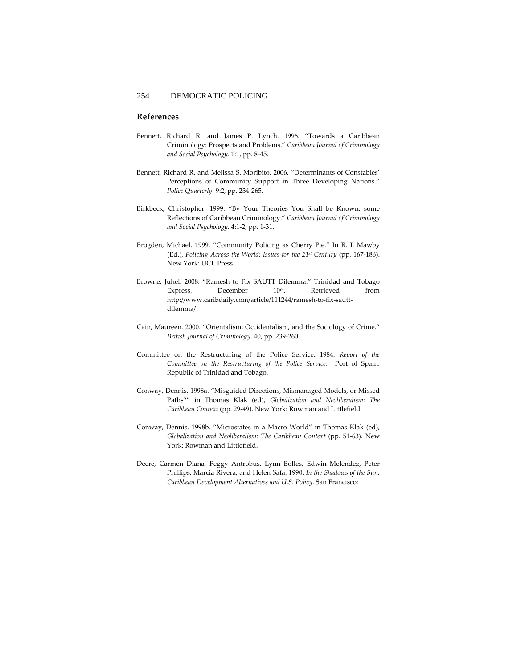#### **References**

- Bennett, Richard R. and James P. Lynch. 1996. "Towards a Caribbean Criminology: Prospects and Problems." *Caribbean Journal of Criminology and Social Psychology*. 1:1, pp. 8‐45.
- Bennett, Richard R. and Melissa S. Moribito. 2006. "Determinants of Constables' Perceptions of Community Support in Three Developing Nations." *Police Quarterly*. 9:2, pp. 234‐265.
- Birkbeck, Christopher. 1999. "By Your Theories You Shall be Known: some Reflections of Caribbean Criminology." *Caribbean Journal of Criminology and Social Psychology*. 4:1‐2, pp. 1‐31.
- Brogden, Michael. 1999. "Community Policing as Cherry Pie." In R. I. Mawby (Ed.), *Policing Across the World: Issues for the 21st Century* (pp. 167‐186). New York: UCL Press.
- Browne, Juhel. 2008. "Ramesh to Fix SAUTT Dilemma." Trinidad and Tobago Express, December 10<sup>th</sup>. Retrieved from http://www.caribdaily.com/article/111244/ramesh‐to‐fix‐sautt‐ dilemma/
- Cain, Maureen. 2000. "Orientalism, Occidentalism, and the Sociology of Crime." *British Journal of Criminology*. 40, pp. 239‐260.
- Committee on the Restructuring of the Police Service. 1984. *Report of the Committee on the Restructuring of the Police Service*. Port of Spain: Republic of Trinidad and Tobago.
- Conway, Dennis. 1998a. "Misguided Directions, Mismanaged Models, or Missed Paths?" in Thomas Klak (ed), *Globalization and Neoliberalism: The Caribbean Context* (pp. 29‐49). New York: Rowman and Littlefield.
- Conway, Dennis. 1998b. "Microstates in a Macro World" in Thomas Klak (ed), *Globalization and Neoliberalism: The Caribbean Context* (pp. 51‐63). New York: Rowman and Littlefield.
- Deere, Carmen Diana, Peggy Antrobus, Lynn Bolles, Edwin Melendez, Peter Phillips, Marcia Rivera, and Helen Safa. 1990. *In the Shadows of the Sun: Caribbean Development Alternatives and U.S. Policy*. San Francisco: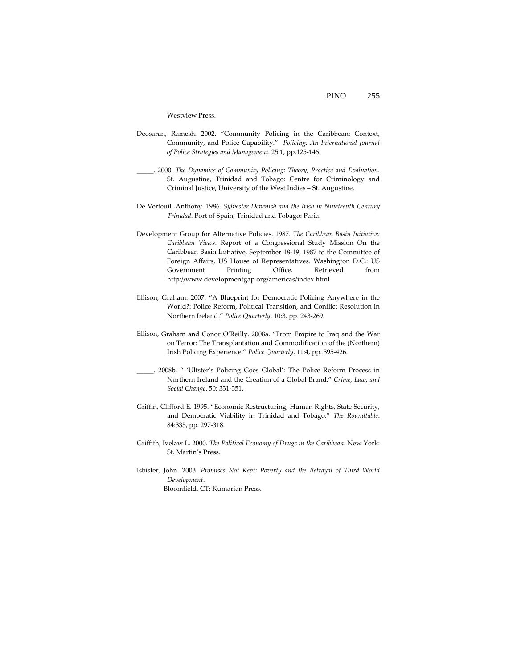Westview Press.

- Deosaran, Ramesh. 2002. "Community Policing in the Caribbean: Context, Community, and Police Capability." *Policing: An International Journal of Police Strategies and Management*. 25:1, pp.125‐146.
- \_\_\_\_\_. 2000. *The Dynamics of Community Policing: Theory, Practice and Evaluation*. St. Augustine, Trinidad and Tobago: Centre for Criminology and Criminal Justice, University of the West Indies – St. Augustine.
- De Verteuil, Anthony. 1986. *Sylvester Devenish and the Irish in Nineteenth Century Trinidad*. Port of Spain, Trinidad and Tobago: Paria.
- Development Group for Alternative Policies. 1987. *The Caribbean Basin Initiative: Caribbean Views*. Report of a Congressional Study Mission On the Caribbean Basin Initiative, September 18‐19, 1987 to the Committee of Foreign Affairs, US House of Representatives. Washington D.C.: US Government Printing Office. Retrieved from http://www.developmentgap.org/americas/index.html
- Ellison, Graham. 2007. "A Blueprint for Democratic Policing Anywhere in the World?: Police Reform, Political Transition, and Conflict Resolution in Northern Ireland." *Police Quarterly*. 10:3, pp. 243‐269.
- Ellison, Graham and Conor O'Reilly. 2008a. "From Empire to Iraq and the War on Terror: The Transplantation and Commodification of the (Northern) Irish Policing Experience." *Police Quarterly*. 11:4, pp. 395‐426.
- \_\_\_\_\_. 2008b. " 'Ultster's Policing Goes Global': The Police Reform Process in Northern Ireland and the Creation of a Global Brand." *Crime, Law, and Social Change*. 50: 331‐351.
- Griffin, Clifford E. 1995. "Economic Restructuring, Human Rights, State Security, and Democratic Viability in Trinidad and Tobago." *The Roundtable*. 84:335, pp. 297‐318.
- Griffith, Ivelaw L. 2000. *The Political Economy of Drugs in the Caribbean*. New York: St. Martin's Press.
- Isbister, John. 2003. *Promises Not Kept: Poverty and the Betrayal of Third World Development*. Bloomfield, CT: Kumarian Press.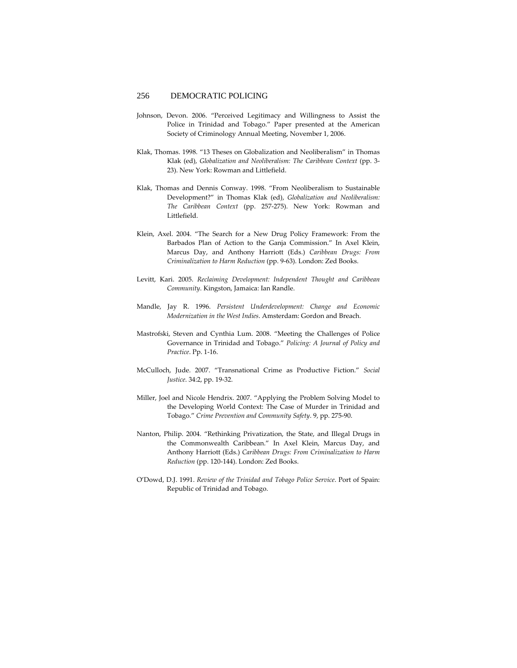- Johnson, Devon. 2006. "Perceived Legitimacy and Willingness to Assist the Police in Trinidad and Tobago." Paper presented at the American Society of Criminology Annual Meeting, November 1, 2006.
- Klak, Thomas. 1998. "13 Theses on Globalization and Neoliberalism" in Thomas Klak (ed), *Globalization and Neoliberalism: The Caribbean Context* (pp. 3‐ 23). New York: Rowman and Littlefield.
- Klak, Thomas and Dennis Conway. 1998. "From Neoliberalism to Sustainable Development?" in Thomas Klak (ed), *Globalization and Neoliberalism: The Caribbean Context* (pp. 257‐275). New York: Rowman and Littlefield.
- Klein, Axel. 2004. "The Search for a New Drug Policy Framework: From the Barbados Plan of Action to the Ganja Commission." In Axel Klein, Marcus Day, and Anthony Harriott (Eds.) *Caribbean Drugs: From Criminalization to Harm Reduction* (pp. 9‐63). London: Zed Books.
- Levitt, Kari. 2005. *Reclaiming Development: Independent Thought and Caribbean Community*. Kingston, Jamaica: Ian Randle.
- Mandle, Jay R. 1996. *Persistent Underdevelopment: Change and Economic Modernization in the West Indies*. Amsterdam: Gordon and Breach.
- Mastrofski, Steven and Cynthia Lum. 2008. "Meeting the Challenges of Police Governance in Trinidad and Tobago." *Policing: A Journal of Policy and Practice*. Pp. 1‐16.
- McCulloch, Jude. 2007. "Transnational Crime as Productive Fiction." *Social Justice*. 34:2, pp. 19‐32.
- Miller, Joel and Nicole Hendrix. 2007. "Applying the Problem Solving Model to the Developing World Context: The Case of Murder in Trinidad and Tobago." *Crime Prevention and Community Safety*. 9, pp. 275‐90.
- Nanton, Philip. 2004. "Rethinking Privatization, the State, and Illegal Drugs in the Commonwealth Caribbean." In Axel Klein, Marcus Day, and Anthony Harriott (Eds.) *Caribbean Drugs: From Criminalization to Harm Reduction* (pp. 120‐144). London: Zed Books.
- O'Dowd, D.J. 1991. *Review of the Trinidad and Tobago Police Service*. Port of Spain: Republic of Trinidad and Tobago.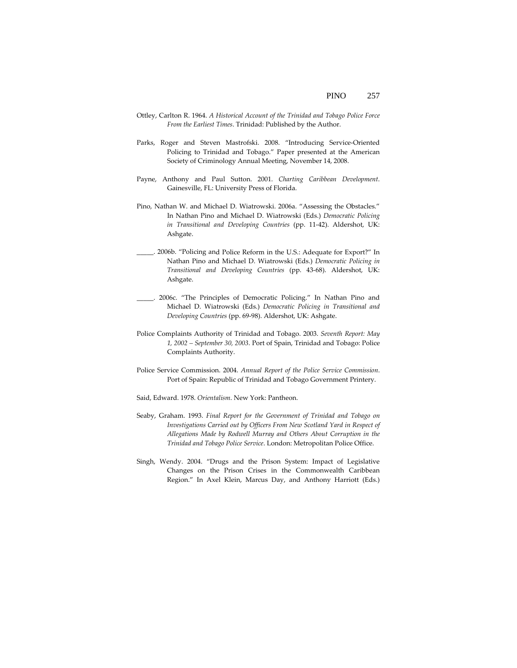- Ottley, Carlton R. 1964. *A Historical Account of the Trinidad and Tobago Police Force From the Earliest Times*. Trinidad: Published by the Author.
- Parks, Roger and Steven Mastrofski. 2008. "Introducing Service‐Oriented Policing to Trinidad and Tobago." Paper presented at the American Society of Criminology Annual Meeting, November 14, 2008.
- Payne, Anthony and Paul Sutton. 2001. *Charting Caribbean Development*. Gainesville, FL: University Press of Florida.
- Pino, Nathan W. and Michael D. Wiatrowski. 2006a. "Assessing the Obstacles." In Nathan Pino and Michael D. Wiatrowski (Eds.) *Democratic Policing in Transitional and Developing Countries* (pp. 11‐42). Aldershot, UK: Ashgate.
- \_\_\_\_\_. 2006b. "Policing and Police Reform in the U.S.: Adequate for Export?" In Nathan Pino and Michael D. Wiatrowski (Eds.) *Democratic Policing in Transitional and Developing Countries* (pp. 43‐68). Aldershot, UK: Ashgate.
- \_\_\_\_\_. 2006c. "The Principles of Democratic Policing." In Nathan Pino and Michael D. Wiatrowski (Eds.) *Democratic Policing in Transitional and Developing Countries* (pp. 69‐98). Aldershot, UK: Ashgate.
- Police Complaints Authority of Trinidad and Tobago. 2003. *Seventh Report: May 1, 2002 – September 30, 2003*. Port of Spain, Trinidad and Tobago: Police Complaints Authority.
- Police Service Commission. 2004. *Annual Report of the Police Service Commission*. Port of Spain: Republic of Trinidad and Tobago Government Printery.
- Said, Edward. 1978. *Orientalism*. New York: Pantheon.
- Seaby, Graham. 1993. *Final Report for the Government of Trinidad and Tobago on Investigations Carried out by Officers From New Scotland Yard in Respect of Allegations Made by Rodwell Murray and Others About Corruption in the Trinidad and Tobago Police Service*. London: Metropolitan Police Office.
- Singh, Wendy. 2004. "Drugs and the Prison System: Impact of Legislative Changes on the Prison Crises in the Commonwealth Caribbean Region." In Axel Klein, Marcus Day, and Anthony Harriott (Eds.)